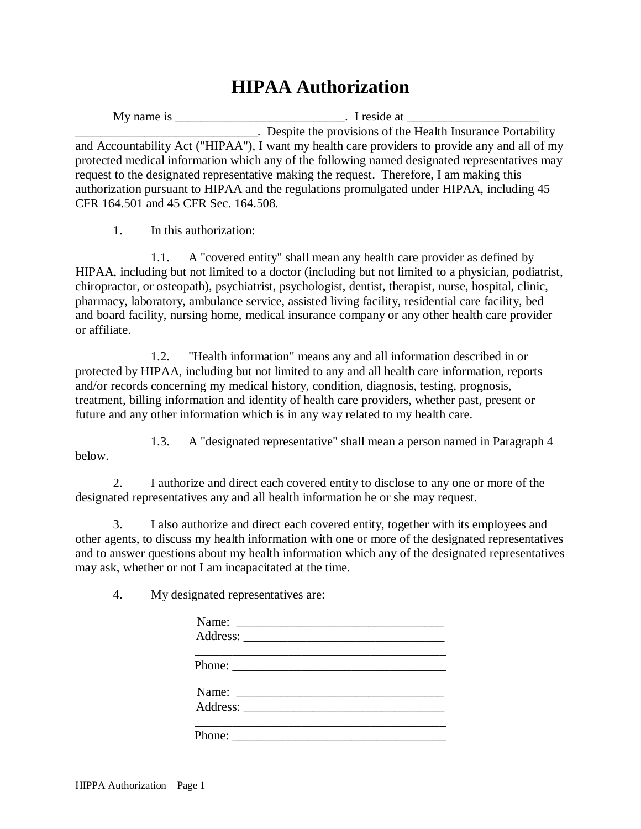## **HIPAA Authorization**

My name is \_\_\_\_\_\_\_\_\_\_\_\_\_\_\_\_\_\_\_\_\_\_\_\_\_\_\_\_\_\_\_\_. I reside at \_\_\_\_\_\_\_\_\_\_\_\_\_\_\_\_\_\_\_\_\_\_\_ \_\_\_\_\_\_\_\_\_\_\_\_\_\_\_\_\_\_\_\_\_\_\_\_\_\_\_\_\_. Despite the provisions of the Health Insurance Portability and Accountability Act ("HIPAA"), I want my health care providers to provide any and all of my protected medical information which any of the following named designated representatives may request to the designated representative making the request. Therefore, I am making this authorization pursuant to HIPAA and the regulations promulgated under HIPAA, including 45 CFR 164.501 and 45 CFR Sec. 164.508.

1. In this authorization:

1.1. A "covered entity" shall mean any health care provider as defined by HIPAA, including but not limited to a doctor (including but not limited to a physician, podiatrist, chiropractor, or osteopath), psychiatrist, psychologist, dentist, therapist, nurse, hospital, clinic, pharmacy, laboratory, ambulance service, assisted living facility, residential care facility, bed and board facility, nursing home, medical insurance company or any other health care provider or affiliate.

1.2. "Health information" means any and all information described in or protected by HIPAA, including but not limited to any and all health care information, reports and/or records concerning my medical history, condition, diagnosis, testing, prognosis, treatment, billing information and identity of health care providers, whether past, present or future and any other information which is in any way related to my health care.

1.3. A "designated representative" shall mean a person named in Paragraph 4 below.

2. I authorize and direct each covered entity to disclose to any one or more of the designated representatives any and all health information he or she may request.

3. I also authorize and direct each covered entity, together with its employees and other agents, to discuss my health information with one or more of the designated representatives and to answer questions about my health information which any of the designated representatives may ask, whether or not I am incapacitated at the time.

4. My designated representatives are:

| Phone: $\frac{1}{\sqrt{1-\frac{1}{2}}\sqrt{1-\frac{1}{2}}\sqrt{1-\frac{1}{2}}\sqrt{1-\frac{1}{2}}\sqrt{1-\frac{1}{2}}\sqrt{1-\frac{1}{2}}\sqrt{1-\frac{1}{2}}\sqrt{1-\frac{1}{2}}\sqrt{1-\frac{1}{2}}\sqrt{1-\frac{1}{2}}\sqrt{1-\frac{1}{2}}\sqrt{1-\frac{1}{2}}\sqrt{1-\frac{1}{2}}\sqrt{1-\frac{1}{2}}\sqrt{1-\frac{1}{2}}\sqrt{1-\frac{1}{2}}\sqrt{1-\frac{1}{2}}\sqrt{1-\frac{1}{2}}\sqrt{1-\frac{1}{2$ |  |  |
|--------------------------------------------------------------------------------------------------------------------------------------------------------------------------------------------------------------------------------------------------------------------------------------------------------------------------------------------------------------------------------------------------------------|--|--|
| Name: $\frac{1}{2}$                                                                                                                                                                                                                                                                                                                                                                                          |  |  |
|                                                                                                                                                                                                                                                                                                                                                                                                              |  |  |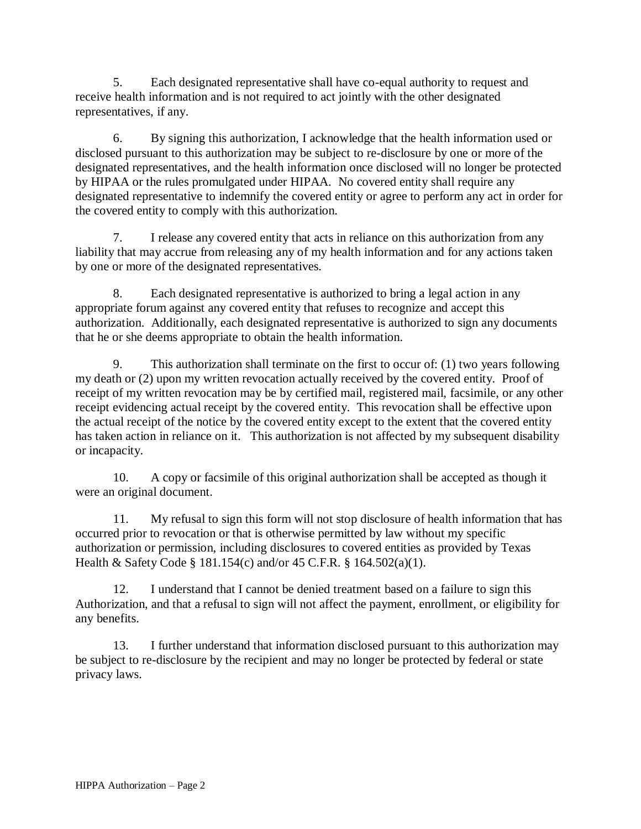5. Each designated representative shall have co-equal authority to request and receive health information and is not required to act jointly with the other designated representatives, if any.

6. By signing this authorization, I acknowledge that the health information used or disclosed pursuant to this authorization may be subject to re-disclosure by one or more of the designated representatives, and the health information once disclosed will no longer be protected by HIPAA or the rules promulgated under HIPAA. No covered entity shall require any designated representative to indemnify the covered entity or agree to perform any act in order for the covered entity to comply with this authorization.

7. I release any covered entity that acts in reliance on this authorization from any liability that may accrue from releasing any of my health information and for any actions taken by one or more of the designated representatives.

8. Each designated representative is authorized to bring a legal action in any appropriate forum against any covered entity that refuses to recognize and accept this authorization. Additionally, each designated representative is authorized to sign any documents that he or she deems appropriate to obtain the health information.

9. This authorization shall terminate on the first to occur of: (1) two years following my death or (2) upon my written revocation actually received by the covered entity. Proof of receipt of my written revocation may be by certified mail, registered mail, facsimile, or any other receipt evidencing actual receipt by the covered entity. This revocation shall be effective upon the actual receipt of the notice by the covered entity except to the extent that the covered entity has taken action in reliance on it. This authorization is not affected by my subsequent disability or incapacity.

10. A copy or facsimile of this original authorization shall be accepted as though it were an original document.

11. My refusal to sign this form will not stop disclosure of health information that has occurred prior to revocation or that is otherwise permitted by law without my specific authorization or permission, including disclosures to covered entities as provided by Texas Health & Safety Code § 181.154(c) and/or 45 C.F.R. § 164.502(a)(1).

12. I understand that I cannot be denied treatment based on a failure to sign this Authorization, and that a refusal to sign will not affect the payment, enrollment, or eligibility for any benefits.

13. I further understand that information disclosed pursuant to this authorization may be subject to re-disclosure by the recipient and may no longer be protected by federal or state privacy laws.